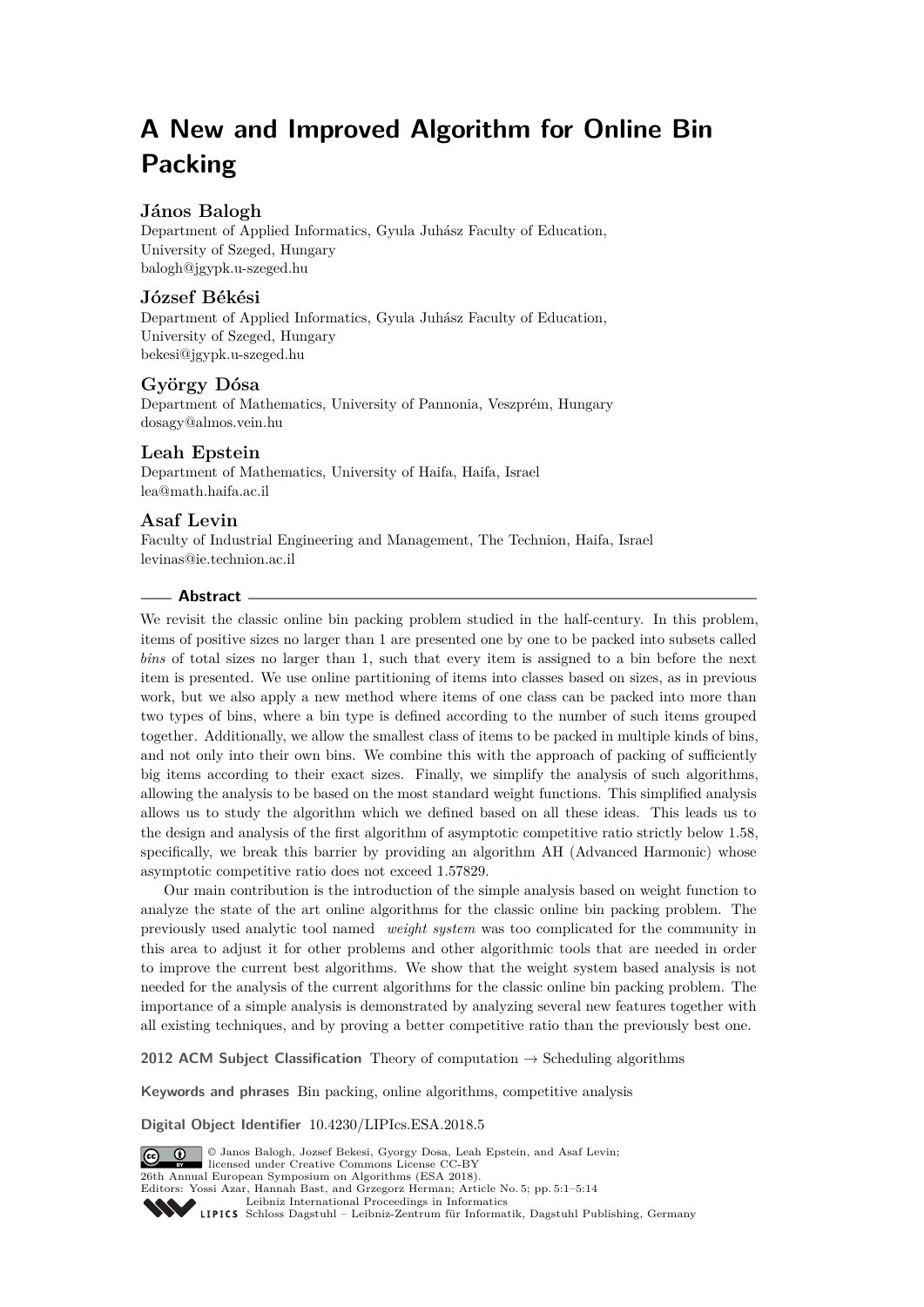# **A New and Improved Algorithm for Online Bin Packing**

# **János Balogh**

Department of Applied Informatics, Gyula Juhász Faculty of Education, University of Szeged, Hungary [balogh@jgypk.u-szeged.hu](mailto:balogh@jgypk.u-szeged.hu)

## **József Békési**

Department of Applied Informatics, Gyula Juhász Faculty of Education, University of Szeged, Hungary [bekesi@jgypk.u-szeged.hu](mailto:bekesi@jgypk.u-szeged.hu)

## **György Dósa**

Department of Mathematics, University of Pannonia, Veszprém, Hungary [dosagy@almos.vein.hu](mailto:dosagy@almos.vein.hu)

## **Leah Epstein**

Department of Mathematics, University of Haifa, Haifa, Israel [lea@math.haifa.ac.il](mailto:lea@math.haifa.ac.il)

## **Asaf Levin**

Faculty of Industrial Engineering and Management, The Technion, Haifa, Israel [levinas@ie.technion.ac.il](mailto:levinas@ie.technion.ac.il)

## **Abstract**

We revisit the classic online bin packing problem studied in the half-century. In this problem, items of positive sizes no larger than 1 are presented one by one to be packed into subsets called *bins* of total sizes no larger than 1, such that every item is assigned to a bin before the next item is presented. We use online partitioning of items into classes based on sizes, as in previous work, but we also apply a new method where items of one class can be packed into more than two types of bins, where a bin type is defined according to the number of such items grouped together. Additionally, we allow the smallest class of items to be packed in multiple kinds of bins, and not only into their own bins. We combine this with the approach of packing of sufficiently big items according to their exact sizes. Finally, we simplify the analysis of such algorithms, allowing the analysis to be based on the most standard weight functions. This simplified analysis allows us to study the algorithm which we defined based on all these ideas. This leads us to the design and analysis of the first algorithm of asymptotic competitive ratio strictly below 1.58, specifically, we break this barrier by providing an algorithm AH (Advanced Harmonic) whose asymptotic competitive ratio does not exceed 1.57829.

Our main contribution is the introduction of the simple analysis based on weight function to analyze the state of the art online algorithms for the classic online bin packing problem. The previously used analytic tool named *weight system* was too complicated for the community in this area to adjust it for other problems and other algorithmic tools that are needed in order to improve the current best algorithms. We show that the weight system based analysis is not needed for the analysis of the current algorithms for the classic online bin packing problem. The importance of a simple analysis is demonstrated by analyzing several new features together with all existing techniques, and by proving a better competitive ratio than the previously best one.

**2012 ACM Subject Classification** Theory of computation  $\rightarrow$  Scheduling algorithms

**Keywords and phrases** Bin packing, online algorithms, competitive analysis

**Digital Object Identifier** [10.4230/LIPIcs.ESA.2018.5](http://dx.doi.org/10.4230/LIPIcs.ESA.2018.5)



© Janos Balogh, Jozsef Bekesi, Gyorgy Dosa, Leah Epstein, and Asaf Levin;  $\boxed{6}$  0 licensed under Creative Commons License CC-BY 26th Annual European Symposium on Algorithms (ESA 2018). Editors: Yossi Azar, Hannah Bast, and Grzegorz Herman; Article No. 5; pp. 5:1–5[:14](#page-13-0) [Leibniz International Proceedings in Informatics](http://www.dagstuhl.de/lipics/)

Leibniz international riverenings in missimonal Publishing, Germany<br>LIPICS [Schloss Dagstuhl – Leibniz-Zentrum für Informatik, Dagstuhl Publishing, Germany](http://www.dagstuhl.de)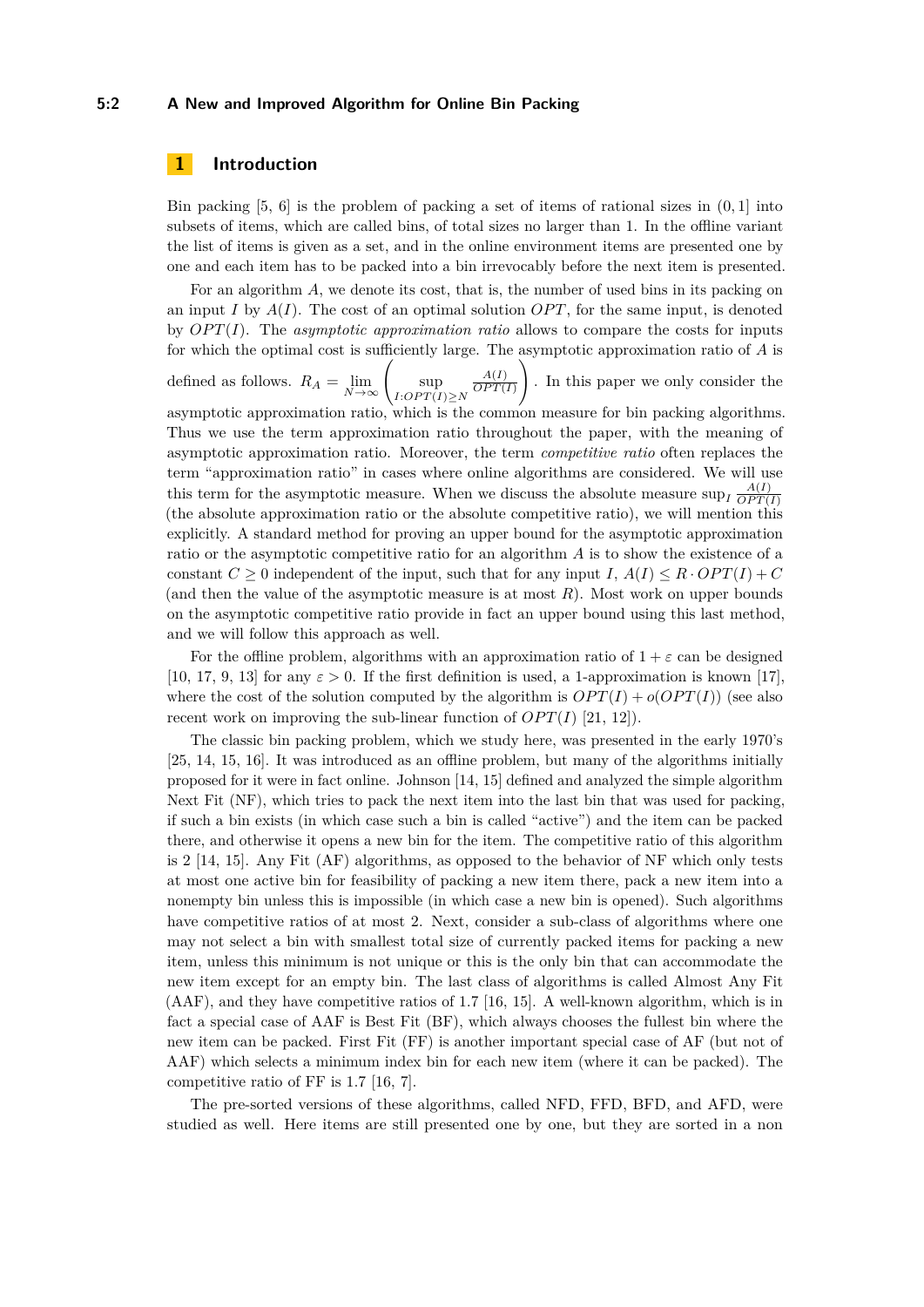## **5:2 A New and Improved Algorithm for Online Bin Packing**

## **1 Introduction**

Bin packing [\[5,](#page-12-0) [6\]](#page-12-1) is the problem of packing a set of items of rational sizes in (0*,* 1] into subsets of items, which are called bins, of total sizes no larger than 1. In the offline variant the list of items is given as a set, and in the online environment items are presented one by one and each item has to be packed into a bin irrevocably before the next item is presented.

For an algorithm A, we denote its cost, that is, the number of used bins in its packing on an input *I* by  $A(I)$ . The cost of an optimal solution *OPT*, for the same input, is denoted by  $OPT(I)$ . The *asymptotic approximation ratio* allows to compare the costs for inputs for which the optimal cost is sufficiently large. The asymptotic approximation ratio of *A* is

defined as follows.  $R_A = \lim_{N \to \infty} \left( \sup_{I:OPT(I)} \right)$ *I*: $OPT(I) ≥ N$ *A*(*I*)  $OPT(I)$  $\setminus$ . In this paper we only consider the asymptotic approximation ratio, which is the common measure for bin packing algorithms. Thus we use the term approximation ratio throughout the paper, with the meaning of asymptotic approximation ratio. Moreover, the term *competitive ratio* often replaces the term "approximation ratio" in cases where online algorithms are considered. We will use this term for the asymptotic measure. When we discuss the absolute measure sup<sub>*I*</sub>  $\frac{A(I)}{OPT(I)}$  $OPT(I)$ (the absolute approximation ratio or the absolute competitive ratio), we will mention this explicitly. A standard method for proving an upper bound for the asymptotic approximation ratio or the asymptotic competitive ratio for an algorithm *A* is to show the existence of a constant  $C > 0$  independent of the input, such that for any input *I*,  $A(I) \leq R \cdot OPT(I) + C$ (and then the value of the asymptotic measure is at most *R*). Most work on upper bounds on the asymptotic competitive ratio provide in fact an upper bound using this last method, and we will follow this approach as well.

For the offline problem, algorithms with an approximation ratio of  $1 + \varepsilon$  can be designed [\[10,](#page-12-2) [17,](#page-12-3) [9,](#page-12-4) [13\]](#page-12-5) for any  $\varepsilon > 0$ . If the first definition is used, a 1-approximation is known [\[17\]](#page-12-3), where the cost of the solution computed by the algorithm is  $OPT(I) + o(OPT(I))$  (see also recent work on improving the sub-linear function of  $OPT(I)$  [\[21,](#page-13-1) [12\]](#page-12-6)).

The classic bin packing problem, which we study here, was presented in the early 1970's [\[25,](#page-13-2) [14,](#page-12-7) [15,](#page-12-8) [16\]](#page-12-9). It was introduced as an offline problem, but many of the algorithms initially proposed for it were in fact online. Johnson [\[14,](#page-12-7) [15\]](#page-12-8) defined and analyzed the simple algorithm Next Fit (NF), which tries to pack the next item into the last bin that was used for packing, if such a bin exists (in which case such a bin is called "active") and the item can be packed there, and otherwise it opens a new bin for the item. The competitive ratio of this algorithm is 2 [\[14,](#page-12-7) [15\]](#page-12-8). Any Fit (AF) algorithms, as opposed to the behavior of NF which only tests at most one active bin for feasibility of packing a new item there, pack a new item into a nonempty bin unless this is impossible (in which case a new bin is opened). Such algorithms have competitive ratios of at most 2. Next, consider a sub-class of algorithms where one may not select a bin with smallest total size of currently packed items for packing a new item, unless this minimum is not unique or this is the only bin that can accommodate the new item except for an empty bin. The last class of algorithms is called Almost Any Fit (AAF), and they have competitive ratios of 1*.*7 [\[16,](#page-12-9) [15\]](#page-12-8). A well-known algorithm, which is in fact a special case of AAF is Best Fit (BF), which always chooses the fullest bin where the new item can be packed. First Fit (FF) is another important special case of AF (but not of AAF) which selects a minimum index bin for each new item (where it can be packed). The competitive ratio of FF is 1.7 [\[16,](#page-12-9) [7\]](#page-12-10).

The pre-sorted versions of these algorithms, called NFD, FFD, BFD, and AFD, were studied as well. Here items are still presented one by one, but they are sorted in a non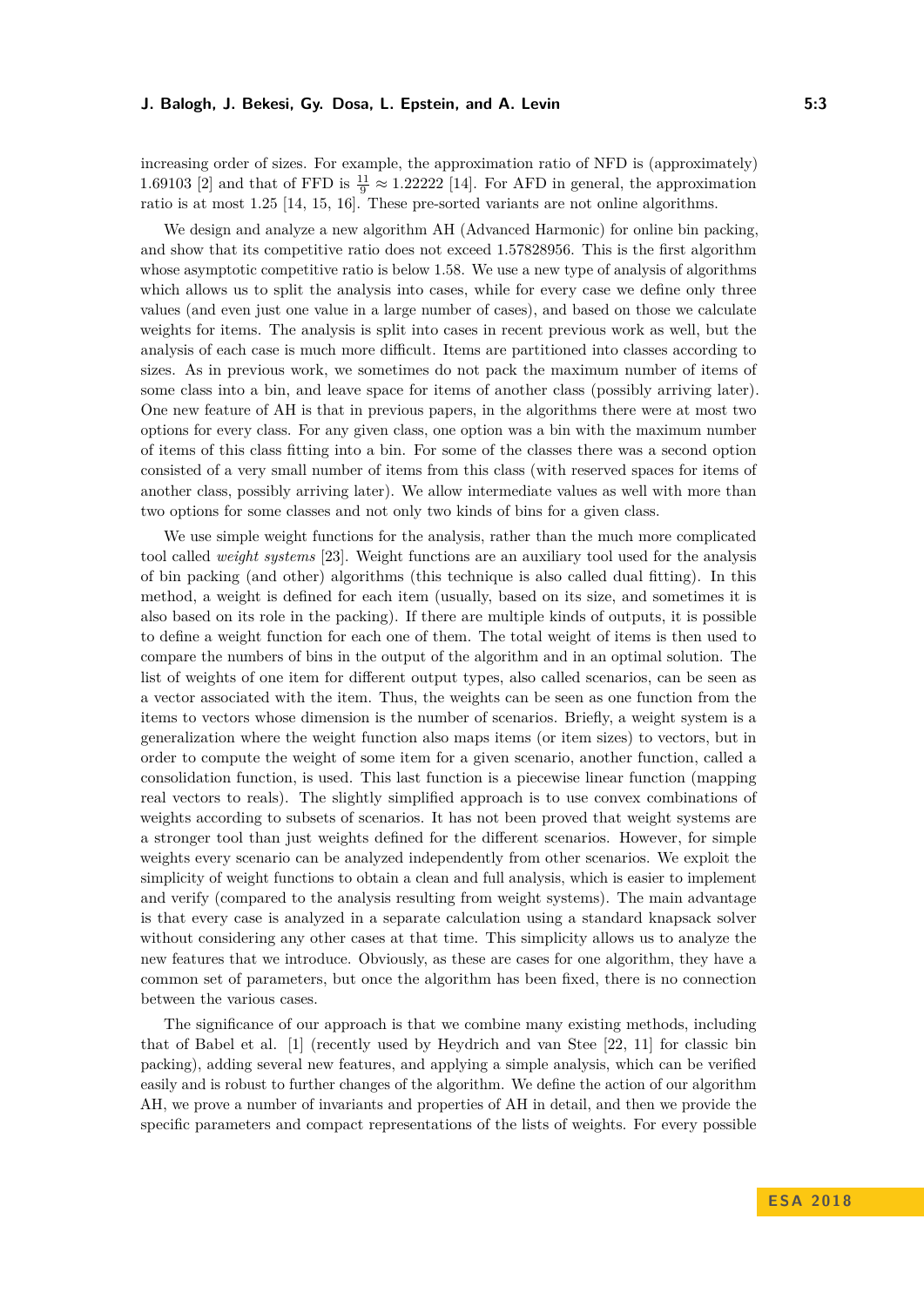increasing order of sizes. For example, the approximation ratio of NFD is (approximately) 1.69103 [\[2\]](#page-12-11) and that of FFD is  $\frac{11}{9} \approx 1.22222$  [\[14\]](#page-12-7). For AFD in general, the approximation ratio is at most 1*.*25 [\[14,](#page-12-7) [15,](#page-12-8) [16\]](#page-12-9). These pre-sorted variants are not online algorithms.

We design and analyze a new algorithm AH (Advanced Harmonic) for online bin packing, and show that its competitive ratio does not exceed 1*.*57828956. This is the first algorithm whose asymptotic competitive ratio is below 1.58. We use a new type of analysis of algorithms which allows us to split the analysis into cases, while for every case we define only three values (and even just one value in a large number of cases), and based on those we calculate weights for items. The analysis is split into cases in recent previous work as well, but the analysis of each case is much more difficult. Items are partitioned into classes according to sizes. As in previous work, we sometimes do not pack the maximum number of items of some class into a bin, and leave space for items of another class (possibly arriving later). One new feature of AH is that in previous papers, in the algorithms there were at most two options for every class. For any given class, one option was a bin with the maximum number of items of this class fitting into a bin. For some of the classes there was a second option consisted of a very small number of items from this class (with reserved spaces for items of another class, possibly arriving later). We allow intermediate values as well with more than two options for some classes and not only two kinds of bins for a given class.

We use simple weight functions for the analysis, rather than the much more complicated tool called *weight systems* [\[23\]](#page-13-3). Weight functions are an auxiliary tool used for the analysis of bin packing (and other) algorithms (this technique is also called dual fitting). In this method, a weight is defined for each item (usually, based on its size, and sometimes it is also based on its role in the packing). If there are multiple kinds of outputs, it is possible to define a weight function for each one of them. The total weight of items is then used to compare the numbers of bins in the output of the algorithm and in an optimal solution. The list of weights of one item for different output types, also called scenarios, can be seen as a vector associated with the item. Thus, the weights can be seen as one function from the items to vectors whose dimension is the number of scenarios. Briefly, a weight system is a generalization where the weight function also maps items (or item sizes) to vectors, but in order to compute the weight of some item for a given scenario, another function, called a consolidation function, is used. This last function is a piecewise linear function (mapping real vectors to reals). The slightly simplified approach is to use convex combinations of weights according to subsets of scenarios. It has not been proved that weight systems are a stronger tool than just weights defined for the different scenarios. However, for simple weights every scenario can be analyzed independently from other scenarios. We exploit the simplicity of weight functions to obtain a clean and full analysis, which is easier to implement and verify (compared to the analysis resulting from weight systems). The main advantage is that every case is analyzed in a separate calculation using a standard knapsack solver without considering any other cases at that time. This simplicity allows us to analyze the new features that we introduce. Obviously, as these are cases for one algorithm, they have a common set of parameters, but once the algorithm has been fixed, there is no connection between the various cases.

The significance of our approach is that we combine many existing methods, including that of Babel et al. [\[1\]](#page-12-12) (recently used by Heydrich and van Stee [\[22,](#page-13-4) [11\]](#page-12-13) for classic bin packing), adding several new features, and applying a simple analysis, which can be verified easily and is robust to further changes of the algorithm. We define the action of our algorithm AH, we prove a number of invariants and properties of AH in detail, and then we provide the specific parameters and compact representations of the lists of weights. For every possible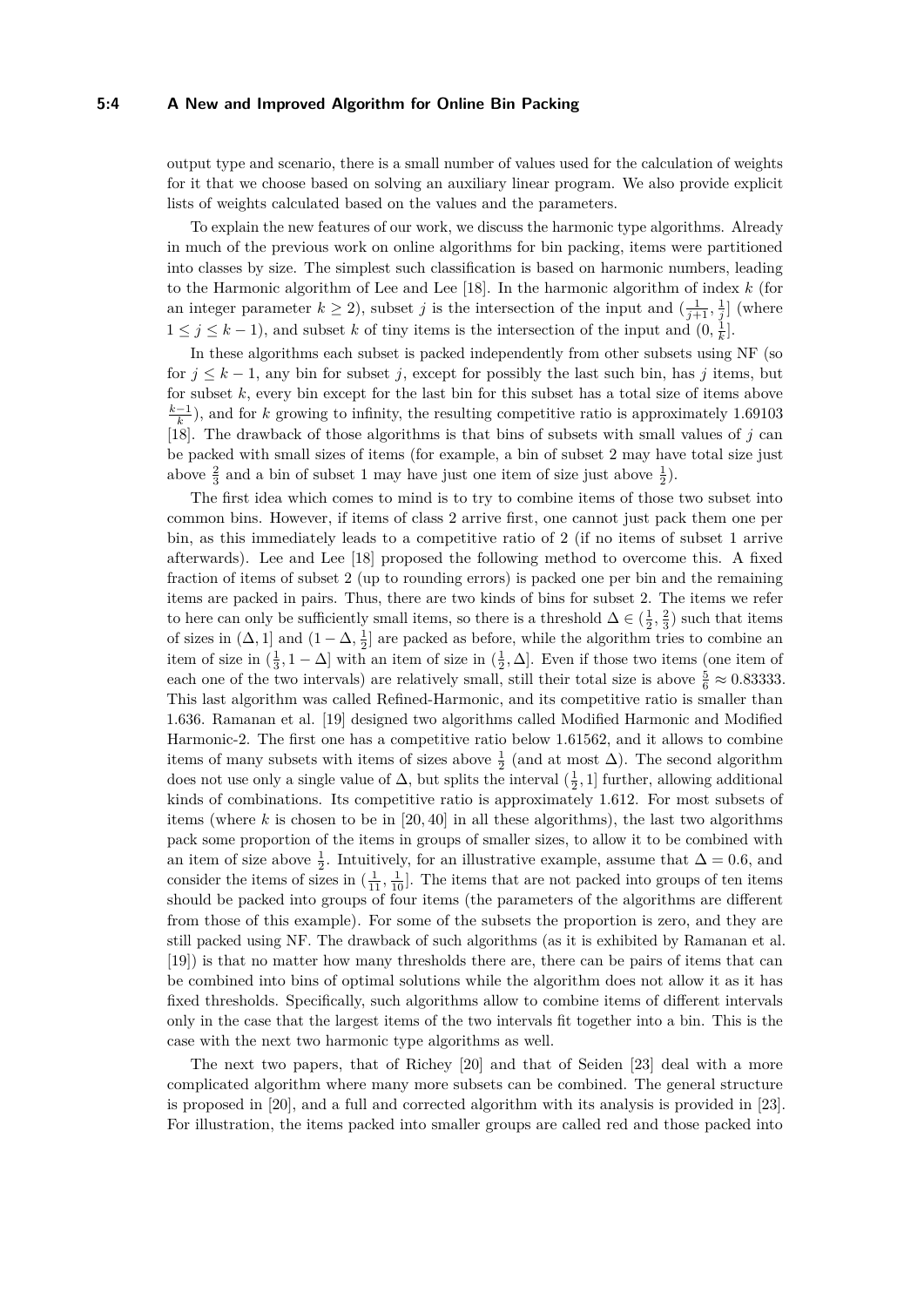#### **5:4 A New and Improved Algorithm for Online Bin Packing**

output type and scenario, there is a small number of values used for the calculation of weights for it that we choose based on solving an auxiliary linear program. We also provide explicit lists of weights calculated based on the values and the parameters.

To explain the new features of our work, we discuss the harmonic type algorithms. Already in much of the previous work on online algorithms for bin packing, items were partitioned into classes by size. The simplest such classification is based on harmonic numbers, leading to the Harmonic algorithm of Lee and Lee [\[18\]](#page-13-5). In the harmonic algorithm of index *k* (for an integer parameter  $k \geq 2$ ), subset *j* is the intersection of the input and  $\left(\frac{1}{j+1}, \frac{1}{j}\right]$  (where 1 ≤ *j* ≤ *k* − 1), and subset *k* of tiny items is the intersection of the input and  $(0, \frac{1}{k}]$ .

In these algorithms each subset is packed independently from other subsets using NF (so for  $j \leq k-1$ , any bin for subset *j*, except for possibly the last such bin, has *j* items, but for subset *k*, every bin except for the last bin for this subset has a total size of items above  $\frac{k-1}{k}$ ), and for *k* growing to infinity, the resulting competitive ratio is approximately 1*.*69103 [\[18\]](#page-13-5). The drawback of those algorithms is that bins of subsets with small values of *j* can be packed with small sizes of items (for example, a bin of subset 2 may have total size just above  $\frac{2}{3}$  and a bin of subset 1 may have just one item of size just above  $\frac{1}{2}$ ).

The first idea which comes to mind is to try to combine items of those two subset into common bins. However, if items of class 2 arrive first, one cannot just pack them one per bin, as this immediately leads to a competitive ratio of 2 (if no items of subset 1 arrive afterwards). Lee and Lee [\[18\]](#page-13-5) proposed the following method to overcome this. A fixed fraction of items of subset 2 (up to rounding errors) is packed one per bin and the remaining items are packed in pairs. Thus, there are two kinds of bins for subset 2. The items we refer to here can only be sufficiently small items, so there is a threshold  $\Delta \in (\frac{1}{2}, \frac{2}{3})$  such that items of sizes in  $(\Delta, 1]$  and  $(1 - \Delta, \frac{1}{2}]$  are packed as before, while the algorithm tries to combine an item of size in  $(\frac{1}{3}, 1 - \Delta]$  with an item of size in  $(\frac{1}{2}, \Delta]$ . Even if those two items (one item of each one of the two intervals) are relatively small, still their total size is above  $\frac{5}{6} \approx 0.83333$ . This last algorithm was called Refined-Harmonic, and its competitive ratio is smaller than 1.636. Ramanan et al. [\[19\]](#page-13-6) designed two algorithms called Modified Harmonic and Modified Harmonic-2. The first one has a competitive ratio below 1*.*61562, and it allows to combine items of many subsets with items of sizes above  $\frac{1}{2}$  (and at most  $\Delta$ ). The second algorithm does not use only a single value of  $\Delta$ , but splits the interval  $(\frac{1}{2}, 1]$  further, allowing additional kinds of combinations. Its competitive ratio is approximately 1*.*612. For most subsets of items (where  $k$  is chosen to be in  $[20, 40]$  in all these algorithms), the last two algorithms pack some proportion of the items in groups of smaller sizes, to allow it to be combined with an item of size above  $\frac{1}{2}$ . Intuitively, for an illustrative example, assume that  $\Delta = 0.6$ , and consider the items of sizes in  $(\frac{1}{11}, \frac{1}{10}]$ . The items that are not packed into groups of ten items should be packed into groups of four items (the parameters of the algorithms are different from those of this example). For some of the subsets the proportion is zero, and they are still packed using NF. The drawback of such algorithms (as it is exhibited by Ramanan et al. [\[19\]](#page-13-6)) is that no matter how many thresholds there are, there can be pairs of items that can be combined into bins of optimal solutions while the algorithm does not allow it as it has fixed thresholds. Specifically, such algorithms allow to combine items of different intervals only in the case that the largest items of the two intervals fit together into a bin. This is the case with the next two harmonic type algorithms as well.

The next two papers, that of Richey [\[20\]](#page-13-7) and that of Seiden [\[23\]](#page-13-3) deal with a more complicated algorithm where many more subsets can be combined. The general structure is proposed in [\[20\]](#page-13-7), and a full and corrected algorithm with its analysis is provided in [\[23\]](#page-13-3). For illustration, the items packed into smaller groups are called red and those packed into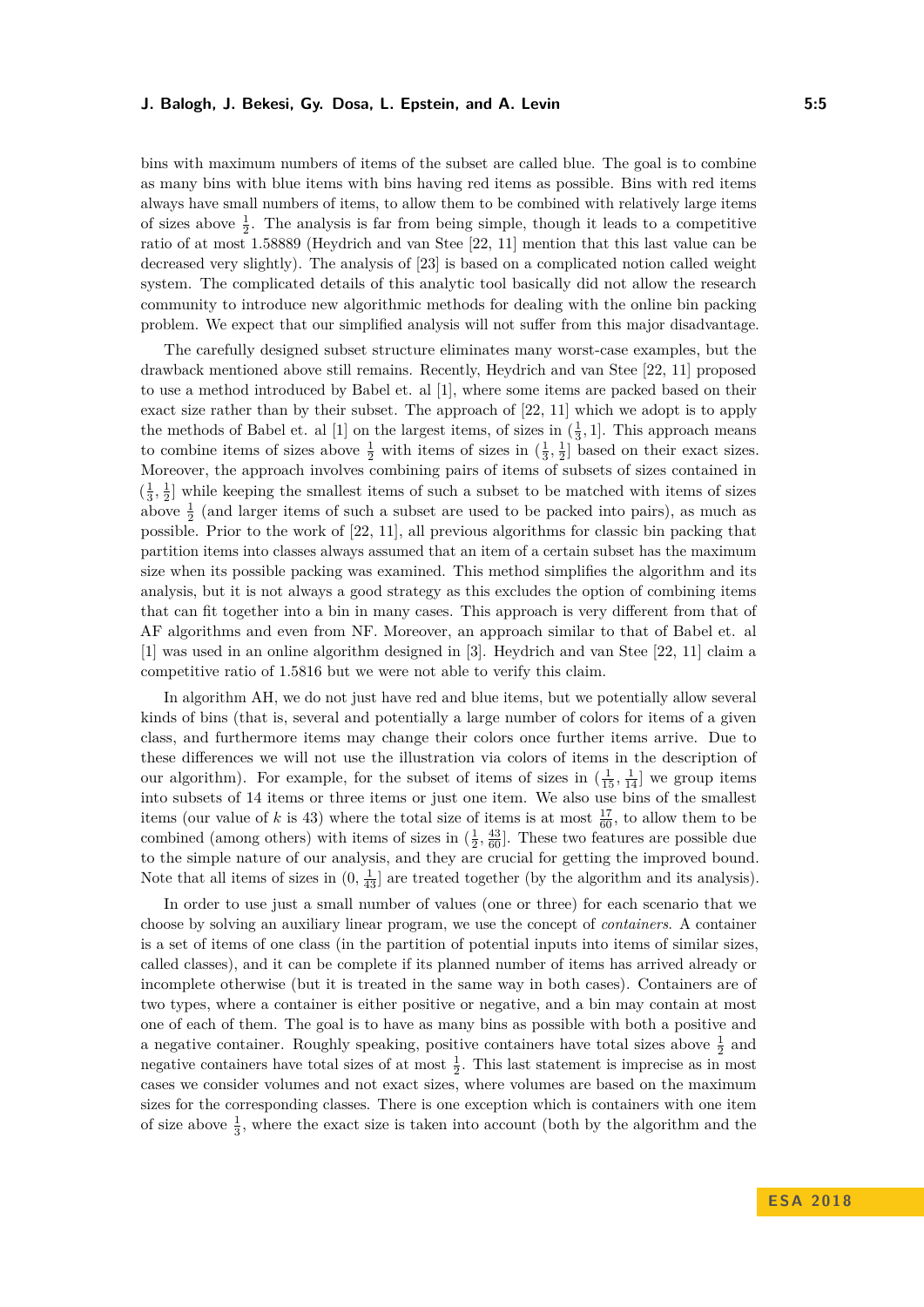bins with maximum numbers of items of the subset are called blue. The goal is to combine as many bins with blue items with bins having red items as possible. Bins with red items always have small numbers of items, to allow them to be combined with relatively large items of sizes above  $\frac{1}{2}$ . The analysis is far from being simple, though it leads to a competitive ratio of at most 1.58889 (Heydrich and van Stee [\[22,](#page-13-4) [11\]](#page-12-13) mention that this last value can be decreased very slightly). The analysis of [\[23\]](#page-13-3) is based on a complicated notion called weight system. The complicated details of this analytic tool basically did not allow the research community to introduce new algorithmic methods for dealing with the online bin packing problem. We expect that our simplified analysis will not suffer from this major disadvantage.

The carefully designed subset structure eliminates many worst-case examples, but the drawback mentioned above still remains. Recently, Heydrich and van Stee [\[22,](#page-13-4) [11\]](#page-12-13) proposed to use a method introduced by Babel et. al [\[1\]](#page-12-12), where some items are packed based on their exact size rather than by their subset. The approach of [\[22,](#page-13-4) [11\]](#page-12-13) which we adopt is to apply the methods of Babel et. al [\[1\]](#page-12-12) on the largest items, of sizes in  $(\frac{1}{3}, 1]$ . This approach means to combine items of sizes above  $\frac{1}{2}$  with items of sizes in  $(\frac{1}{3}, \frac{1}{2}]$  based on their exact sizes. Moreover, the approach involves combining pairs of items of subsets of sizes contained in  $\left(\frac{1}{3}, \frac{1}{2}\right]$  while keeping the smallest items of such a subset to be matched with items of sizes above  $\frac{1}{2}$  (and larger items of such a subset are used to be packed into pairs), as much as possible. Prior to the work of [\[22,](#page-13-4) [11\]](#page-12-13), all previous algorithms for classic bin packing that partition items into classes always assumed that an item of a certain subset has the maximum size when its possible packing was examined. This method simplifies the algorithm and its analysis, but it is not always a good strategy as this excludes the option of combining items that can fit together into a bin in many cases. This approach is very different from that of AF algorithms and even from NF. Moreover, an approach similar to that of Babel et. al [\[1\]](#page-12-12) was used in an online algorithm designed in [\[3\]](#page-12-14). Heydrich and van Stee [\[22,](#page-13-4) [11\]](#page-12-13) claim a competitive ratio of 1.5816 but we were not able to verify this claim.

In algorithm AH, we do not just have red and blue items, but we potentially allow several kinds of bins (that is, several and potentially a large number of colors for items of a given class, and furthermore items may change their colors once further items arrive. Due to these differences we will not use the illustration via colors of items in the description of our algorithm). For example, for the subset of items of sizes in  $(\frac{1}{15}, \frac{1}{14}]$  we group items into subsets of 14 items or three items or just one item. We also use bins of the smallest items (our value of *k* is 43) where the total size of items is at most  $\frac{17}{60}$ , to allow them to be combined (among others) with items of sizes in  $(\frac{1}{2}, \frac{43}{60})$ . These two features are possible due to the simple nature of our analysis, and they are crucial for getting the improved bound. Note that all items of sizes in  $(0, \frac{1}{43}]$  are treated together (by the algorithm and its analysis).

In order to use just a small number of values (one or three) for each scenario that we choose by solving an auxiliary linear program, we use the concept of *containers*. A container is a set of items of one class (in the partition of potential inputs into items of similar sizes, called classes), and it can be complete if its planned number of items has arrived already or incomplete otherwise (but it is treated in the same way in both cases). Containers are of two types, where a container is either positive or negative, and a bin may contain at most one of each of them. The goal is to have as many bins as possible with both a positive and a negative container. Roughly speaking, positive containers have total sizes above  $\frac{1}{2}$  and negative containers have total sizes of at most  $\frac{1}{2}$ . This last statement is imprecise as in most cases we consider volumes and not exact sizes, where volumes are based on the maximum sizes for the corresponding classes. There is one exception which is containers with one item of size above  $\frac{1}{3}$ , where the exact size is taken into account (both by the algorithm and the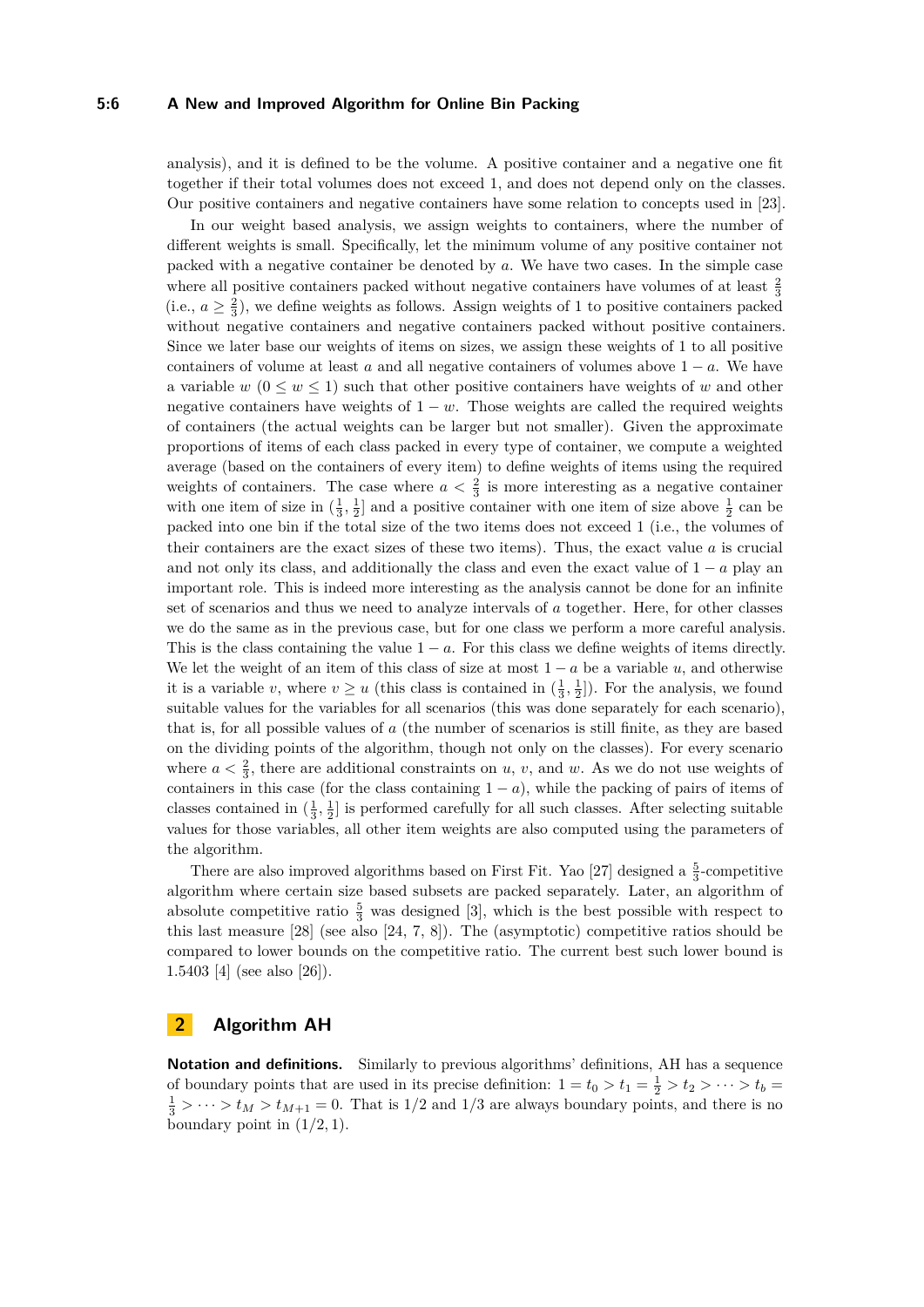## **5:6 A New and Improved Algorithm for Online Bin Packing**

analysis), and it is defined to be the volume. A positive container and a negative one fit together if their total volumes does not exceed 1, and does not depend only on the classes. Our positive containers and negative containers have some relation to concepts used in [\[23\]](#page-13-3).

In our weight based analysis, we assign weights to containers, where the number of different weights is small. Specifically, let the minimum volume of any positive container not packed with a negative container be denoted by *a*. We have two cases. In the simple case where all positive containers packed without negative containers have volumes of at least  $\frac{2}{3}$ (i.e.,  $a \geq \frac{2}{3}$ ), we define weights as follows. Assign weights of 1 to positive containers packed without negative containers and negative containers packed without positive containers. Since we later base our weights of items on sizes, we assign these weights of 1 to all positive containers of volume at least *a* and all negative containers of volumes above  $1 - a$ . We have a variable  $w$  ( $0 \leq w \leq 1$ ) such that other positive containers have weights of *w* and other negative containers have weights of  $1 - w$ . Those weights are called the required weights of containers (the actual weights can be larger but not smaller). Given the approximate proportions of items of each class packed in every type of container, we compute a weighted average (based on the containers of every item) to define weights of items using the required weights of containers. The case where  $a < \frac{2}{3}$  is more interesting as a negative container with one item of size in  $(\frac{1}{3}, \frac{1}{2})$  and a positive container with one item of size above  $\frac{1}{2}$  can be packed into one bin if the total size of the two items does not exceed 1 (i.e., the volumes of their containers are the exact sizes of these two items). Thus, the exact value *a* is crucial and not only its class, and additionally the class and even the exact value of  $1 - a$  play an important role. This is indeed more interesting as the analysis cannot be done for an infinite set of scenarios and thus we need to analyze intervals of *a* together. Here, for other classes we do the same as in the previous case, but for one class we perform a more careful analysis. This is the class containing the value  $1 - a$ . For this class we define weights of items directly. We let the weight of an item of this class of size at most  $1 - a$  be a variable  $u$ , and otherwise it is a variable *v*, where  $v \ge u$  (this class is contained in  $(\frac{1}{3}, \frac{1}{2}]$ ). For the analysis, we found suitable values for the variables for all scenarios (this was done separately for each scenario), that is, for all possible values of *a* (the number of scenarios is still finite, as they are based on the dividing points of the algorithm, though not only on the classes). For every scenario where  $a < \frac{2}{3}$ , there are additional constraints on *u*, *v*, and *w*. As we do not use weights of containers in this case (for the class containing  $1 - a$ ), while the packing of pairs of items of classes contained in  $(\frac{1}{3}, \frac{1}{2}]$  is performed carefully for all such classes. After selecting suitable values for those variables, all other item weights are also computed using the parameters of the algorithm.

There are also improved algorithms based on First Fit. Yao [\[27\]](#page-13-8) designed a  $\frac{5}{3}$ -competitive algorithm where certain size based subsets are packed separately. Later, an algorithm of absolute competitive ratio  $\frac{5}{3}$  was designed [\[3\]](#page-12-14), which is the best possible with respect to this last measure [\[28\]](#page-13-9) (see also [\[24,](#page-13-10) [7,](#page-12-10) [8\]](#page-12-15)). The (asymptotic) competitive ratios should be compared to lower bounds on the competitive ratio. The current best such lower bound is 1.5403 [\[4\]](#page-12-16) (see also [\[26\]](#page-13-11)).

## **2 Algorithm AH**

**Notation and definitions.** Similarly to previous algorithms' definitions, AH has a sequence of boundary points that are used in its precise definition:  $1 = t_0 > t_1 = \frac{1}{2} > t_2 > \cdots > t_b$  $\frac{1}{3}$  > ··· >  $t_M > t_{M+1} = 0$ . That is 1/2 and 1/3 are always boundary points, and there is no boundary point in  $(1/2, 1)$ .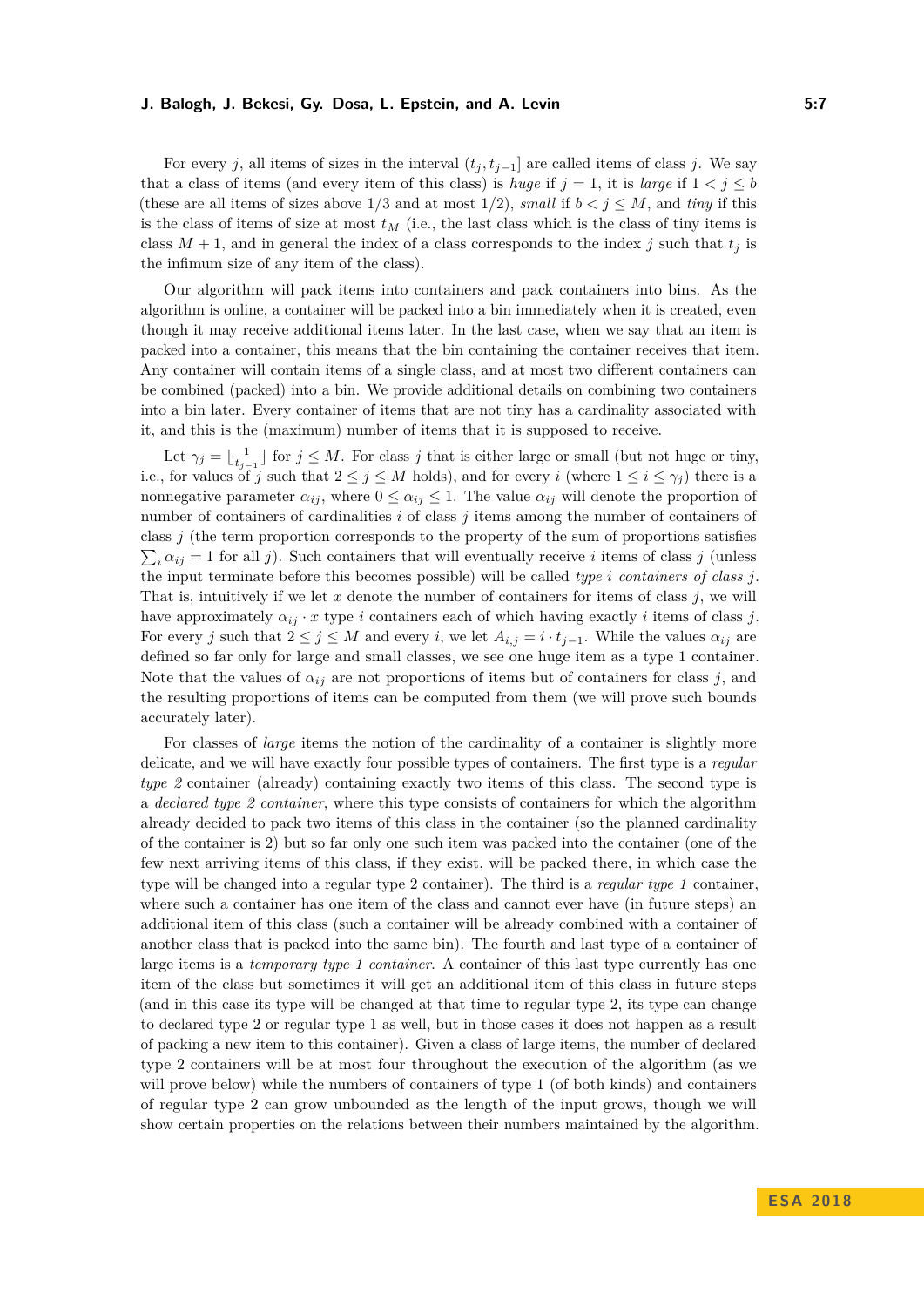For every *j*, all items of sizes in the interval  $(t_j, t_{j-1}]$  are called items of class *j*. We say that a class of items (and every item of this class) is *huge* if  $j = 1$ , it is *large* if  $1 < j \leq b$ (these are all items of sizes above  $1/3$  and at most  $1/2$ ), *small* if  $b < j \leq M$ , and *tiny* if this is the class of items of size at most  $t_M$  (i.e., the last class which is the class of tiny items is class  $M + 1$ , and in general the index of a class corresponds to the index *j* such that  $t_j$  is the infimum size of any item of the class).

Our algorithm will pack items into containers and pack containers into bins. As the algorithm is online, a container will be packed into a bin immediately when it is created, even though it may receive additional items later. In the last case, when we say that an item is packed into a container, this means that the bin containing the container receives that item. Any container will contain items of a single class, and at most two different containers can be combined (packed) into a bin. We provide additional details on combining two containers into a bin later. Every container of items that are not tiny has a cardinality associated with it, and this is the (maximum) number of items that it is supposed to receive.

Let  $\gamma_j = \lfloor \frac{1}{t_{j-1}} \rfloor$  for  $j \leq M$ . For class *j* that is either large or small (but not huge or tiny, i.e., for values of *j* such that  $2 \leq j \leq M$  holds), and for every *i* (where  $1 \leq i \leq \gamma_j$ ) there is a nonnegative parameter  $\alpha_{ij}$ , where  $0 \leq \alpha_{ij} \leq 1$ . The value  $\alpha_{ij}$  will denote the proportion of number of containers of cardinalities *i* of class *j* items among the number of containers of class *j* (the term proportion corresponds to the property of the sum of proportions satisfies  $\sum_i \alpha_{ij} = 1$  for all *j*). Such containers that will eventually receive *i* items of class *j* (unless the input terminate before this becomes possible) will be called *type i containers of class j*. That is, intuitively if we let *x* denote the number of containers for items of class *j*, we will have approximately  $\alpha_{ij} \cdot x$  type *i* containers each of which having exactly *i* items of class *j*. For every *j* such that  $2 \leq j \leq M$  and every *i*, we let  $A_{i,j} = i \cdot t_{j-1}$ . While the values  $\alpha_{ij}$  are defined so far only for large and small classes, we see one huge item as a type 1 container. Note that the values of  $\alpha_{ij}$  are not proportions of items but of containers for class *j*, and the resulting proportions of items can be computed from them (we will prove such bounds accurately later).

For classes of *large* items the notion of the cardinality of a container is slightly more delicate, and we will have exactly four possible types of containers. The first type is a *regular type 2* container (already) containing exactly two items of this class. The second type is a *declared type 2 container*, where this type consists of containers for which the algorithm already decided to pack two items of this class in the container (so the planned cardinality of the container is 2) but so far only one such item was packed into the container (one of the few next arriving items of this class, if they exist, will be packed there, in which case the type will be changed into a regular type 2 container). The third is a *regular type 1* container, where such a container has one item of the class and cannot ever have (in future steps) an additional item of this class (such a container will be already combined with a container of another class that is packed into the same bin). The fourth and last type of a container of large items is a *temporary type 1 container*. A container of this last type currently has one item of the class but sometimes it will get an additional item of this class in future steps (and in this case its type will be changed at that time to regular type 2, its type can change to declared type 2 or regular type 1 as well, but in those cases it does not happen as a result of packing a new item to this container). Given a class of large items, the number of declared type 2 containers will be at most four throughout the execution of the algorithm (as we will prove below) while the numbers of containers of type 1 (of both kinds) and containers of regular type 2 can grow unbounded as the length of the input grows, though we will show certain properties on the relations between their numbers maintained by the algorithm.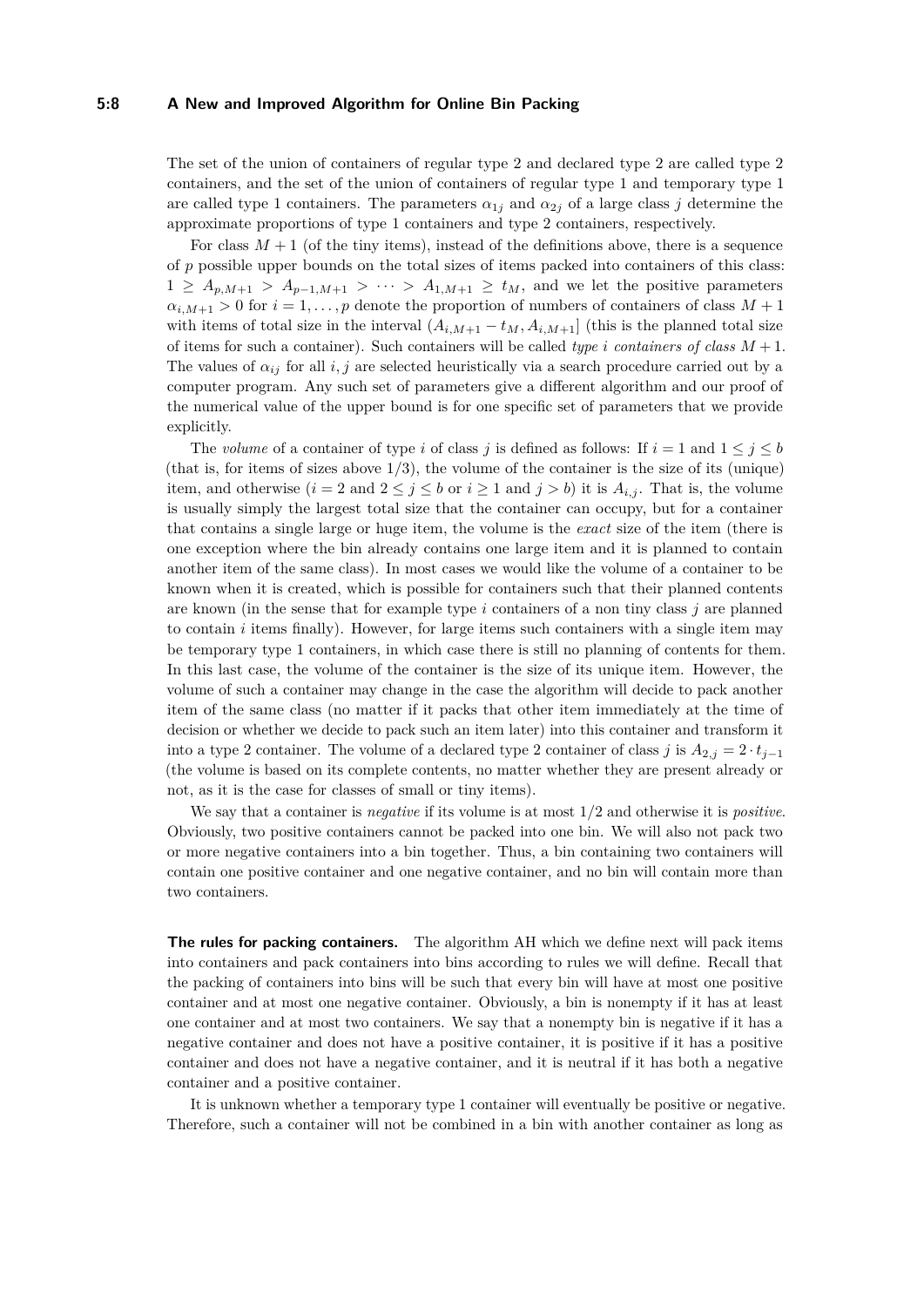#### **5:8 A New and Improved Algorithm for Online Bin Packing**

The set of the union of containers of regular type 2 and declared type 2 are called type 2 containers, and the set of the union of containers of regular type 1 and temporary type 1 are called type 1 containers. The parameters  $\alpha_{1j}$  and  $\alpha_{2j}$  of a large class *j* determine the approximate proportions of type 1 containers and type 2 containers, respectively.

For class  $M+1$  (of the tiny items), instead of the definitions above, there is a sequence of *p* possible upper bounds on the total sizes of items packed into containers of this class:  $1 \geq A_{p,M+1} > A_{p-1,M+1} > \cdots > A_{1,M+1} \geq t_M$ , and we let the positive parameters  $\alpha_{i,M+1} > 0$  for  $i = 1, \ldots, p$  denote the proportion of numbers of containers of class  $M + 1$ with items of total size in the interval  $(A_{i,M+1} - t_M, A_{i,M+1}]$  (this is the planned total size of items for such a container). Such containers will be called *type i containers of class M* + 1. The values of  $\alpha_{ij}$  for all *i, j* are selected heuristically via a search procedure carried out by a computer program. Any such set of parameters give a different algorithm and our proof of the numerical value of the upper bound is for one specific set of parameters that we provide explicitly.

The *volume* of a container of type *i* of class *j* is defined as follows: If  $i = 1$  and  $1 \leq j \leq b$ (that is, for items of sizes above  $1/3$ ), the volume of the container is the size of its (unique) item, and otherwise  $(i = 2 \text{ and } 2 \leq j \leq b \text{ or } i \geq 1 \text{ and } j > b)$  it is  $A_{i,j}$ . That is, the volume is usually simply the largest total size that the container can occupy, but for a container that contains a single large or huge item, the volume is the *exact* size of the item (there is one exception where the bin already contains one large item and it is planned to contain another item of the same class). In most cases we would like the volume of a container to be known when it is created, which is possible for containers such that their planned contents are known (in the sense that for example type  $i$  containers of a non tiny class  $j$  are planned to contain *i* items finally). However, for large items such containers with a single item may be temporary type 1 containers, in which case there is still no planning of contents for them. In this last case, the volume of the container is the size of its unique item. However, the volume of such a container may change in the case the algorithm will decide to pack another item of the same class (no matter if it packs that other item immediately at the time of decision or whether we decide to pack such an item later) into this container and transform it into a type 2 container. The volume of a declared type 2 container of class *j* is  $A_{2,j} = 2 \cdot t_{j-1}$ (the volume is based on its complete contents, no matter whether they are present already or not, as it is the case for classes of small or tiny items).

We say that a container is *negative* if its volume is at most 1*/*2 and otherwise it is *positive*. Obviously, two positive containers cannot be packed into one bin. We will also not pack two or more negative containers into a bin together. Thus, a bin containing two containers will contain one positive container and one negative container, and no bin will contain more than two containers.

**The rules for packing containers.** The algorithm AH which we define next will pack items into containers and pack containers into bins according to rules we will define. Recall that the packing of containers into bins will be such that every bin will have at most one positive container and at most one negative container. Obviously, a bin is nonempty if it has at least one container and at most two containers. We say that a nonempty bin is negative if it has a negative container and does not have a positive container, it is positive if it has a positive container and does not have a negative container, and it is neutral if it has both a negative container and a positive container.

It is unknown whether a temporary type 1 container will eventually be positive or negative. Therefore, such a container will not be combined in a bin with another container as long as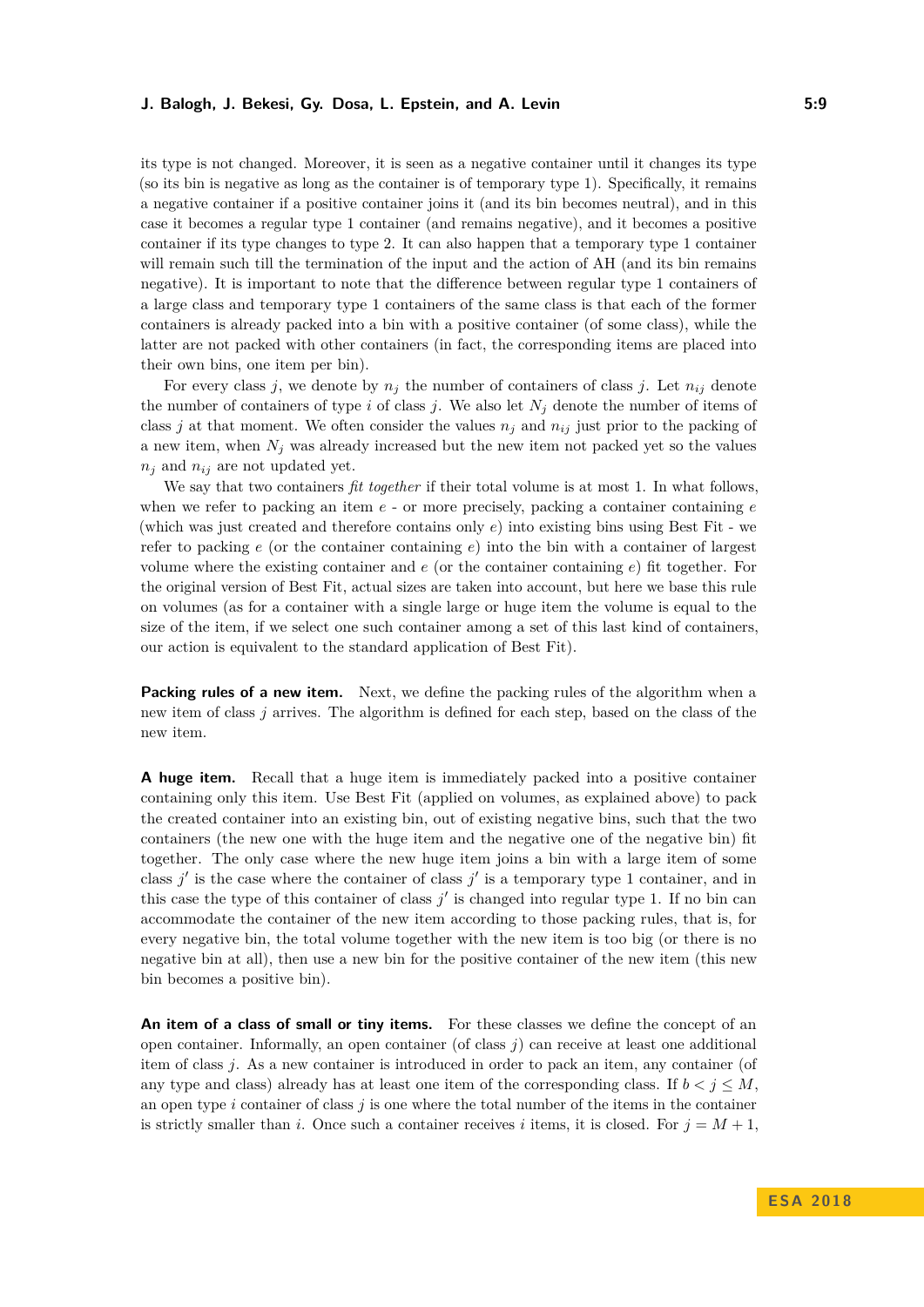its type is not changed. Moreover, it is seen as a negative container until it changes its type (so its bin is negative as long as the container is of temporary type 1). Specifically, it remains a negative container if a positive container joins it (and its bin becomes neutral), and in this case it becomes a regular type 1 container (and remains negative), and it becomes a positive container if its type changes to type 2. It can also happen that a temporary type 1 container will remain such till the termination of the input and the action of AH (and its bin remains negative). It is important to note that the difference between regular type 1 containers of a large class and temporary type 1 containers of the same class is that each of the former containers is already packed into a bin with a positive container (of some class), while the latter are not packed with other containers (in fact, the corresponding items are placed into their own bins, one item per bin).

For every class *j*, we denote by  $n_j$  the number of containers of class *j*. Let  $n_{ij}$  denote the number of containers of type *i* of class *j*. We also let  $N_j$  denote the number of items of class *j* at that moment. We often consider the values  $n_j$  and  $n_{ij}$  just prior to the packing of a new item, when  $N_j$  was already increased but the new item not packed yet so the values  $n_j$  and  $n_{ij}$  are not updated yet.

We say that two containers *fit together* if their total volume is at most 1. In what follows, when we refer to packing an item *e* - or more precisely, packing a container containing *e* (which was just created and therefore contains only *e*) into existing bins using Best Fit - we refer to packing  $e$  (or the container containing  $e$ ) into the bin with a container of largest volume where the existing container and *e* (or the container containing *e*) fit together. For the original version of Best Fit, actual sizes are taken into account, but here we base this rule on volumes (as for a container with a single large or huge item the volume is equal to the size of the item, if we select one such container among a set of this last kind of containers, our action is equivalent to the standard application of Best Fit).

**Packing rules of a new item.** Next, we define the packing rules of the algorithm when a new item of class *j* arrives. The algorithm is defined for each step, based on the class of the new item.

**A huge item.** Recall that a huge item is immediately packed into a positive container containing only this item. Use Best Fit (applied on volumes, as explained above) to pack the created container into an existing bin, out of existing negative bins, such that the two containers (the new one with the huge item and the negative one of the negative bin) fit together. The only case where the new huge item joins a bin with a large item of some class  $j'$  is the case where the container of class  $j'$  is a temporary type 1 container, and in this case the type of this container of class  $j'$  is changed into regular type 1. If no bin can accommodate the container of the new item according to those packing rules, that is, for every negative bin, the total volume together with the new item is too big (or there is no negative bin at all), then use a new bin for the positive container of the new item (this new bin becomes a positive bin).

An item of a class of small or tiny items. For these classes we define the concept of an open container. Informally, an open container (of class  $j$ ) can receive at least one additional item of class *j*. As a new container is introduced in order to pack an item, any container (of any type and class) already has at least one item of the corresponding class. If  $b < j < M$ , an open type *i* container of class *j* is one where the total number of the items in the container is strictly smaller than *i*. Once such a container receives *i* items, it is closed. For  $j = M + 1$ ,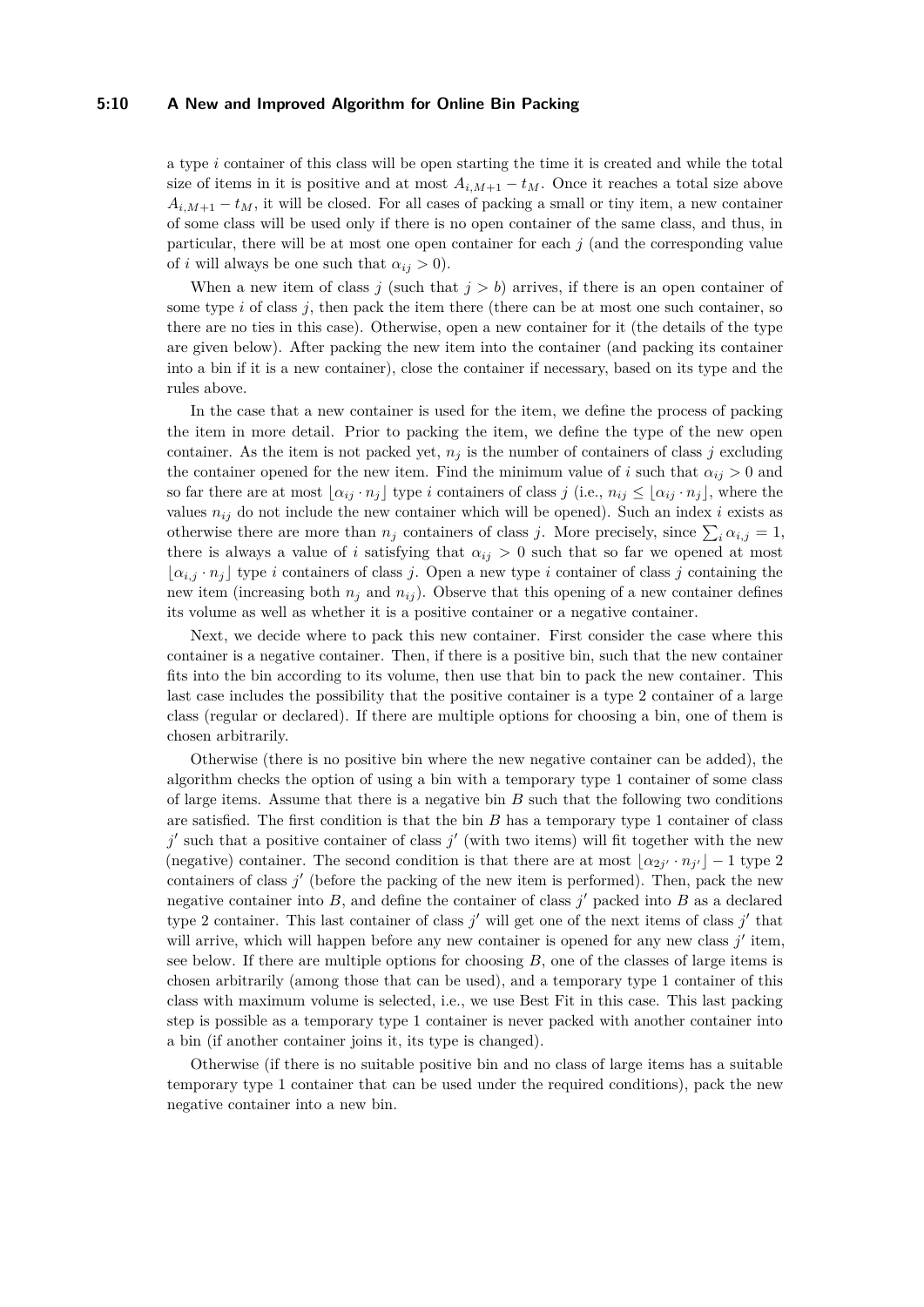## **5:10 A New and Improved Algorithm for Online Bin Packing**

a type *i* container of this class will be open starting the time it is created and while the total size of items in it is positive and at most  $A_{i,M+1} - t_M$ . Once it reaches a total size above  $A_{i,M+1} - t_M$ , it will be closed. For all cases of packing a small or tiny item, a new container of some class will be used only if there is no open container of the same class, and thus, in particular, there will be at most one open container for each  $j$  (and the corresponding value of *i* will always be one such that  $\alpha_{ij} > 0$ .

When a new item of class  $j$  (such that  $j > b$ ) arrives, if there is an open container of some type *i* of class *j*, then pack the item there (there can be at most one such container, so there are no ties in this case). Otherwise, open a new container for it (the details of the type are given below). After packing the new item into the container (and packing its container into a bin if it is a new container), close the container if necessary, based on its type and the rules above.

In the case that a new container is used for the item, we define the process of packing the item in more detail. Prior to packing the item, we define the type of the new open container. As the item is not packed yet,  $n_j$  is the number of containers of class *j* excluding the container opened for the new item. Find the minimum value of *i* such that  $\alpha_{ij} > 0$  and so far there are at most  $\lbrack \alpha_{ij} \cdot n_j \rbrack$  type *i* containers of class *j* (i.e.,  $n_{ij} \leq \lbrack \alpha_{ij} \cdot n_j \rbrack$ , where the values  $n_{ij}$  do not include the new container which will be opened). Such an index *i* exists as otherwise there are more than  $n_j$  containers of class *j*. More precisely, since  $\sum_i \alpha_{i,j} = 1$ , there is always a value of *i* satisfying that  $\alpha_{ij} > 0$  such that so far we opened at most  $\alpha_{i,j} \cdot n_j$  type *i* containers of class *j*. Open a new type *i* container of class *j* containing the new item (increasing both  $n_j$  and  $n_{ij}$ ). Observe that this opening of a new container defines its volume as well as whether it is a positive container or a negative container.

Next, we decide where to pack this new container. First consider the case where this container is a negative container. Then, if there is a positive bin, such that the new container fits into the bin according to its volume, then use that bin to pack the new container. This last case includes the possibility that the positive container is a type 2 container of a large class (regular or declared). If there are multiple options for choosing a bin, one of them is chosen arbitrarily.

Otherwise (there is no positive bin where the new negative container can be added), the algorithm checks the option of using a bin with a temporary type 1 container of some class of large items. Assume that there is a negative bin *B* such that the following two conditions are satisfied. The first condition is that the bin *B* has a temporary type 1 container of class  $j'$  such that a positive container of class  $j'$  (with two items) will fit together with the new (negative) container. The second condition is that there are at most  $\lfloor \alpha_{2j'} \cdot n_{j'} \rfloor - 1$  type 2 containers of class  $j'$  (before the packing of the new item is performed). Then, pack the new negative container into  $B$ , and define the container of class  $j'$  packed into  $B$  as a declared type 2 container. This last container of class  $j'$  will get one of the next items of class  $j'$  that will arrive, which will happen before any new container is opened for any new class  $j'$  item, see below. If there are multiple options for choosing *B*, one of the classes of large items is chosen arbitrarily (among those that can be used), and a temporary type 1 container of this class with maximum volume is selected, i.e., we use Best Fit in this case. This last packing step is possible as a temporary type 1 container is never packed with another container into a bin (if another container joins it, its type is changed).

Otherwise (if there is no suitable positive bin and no class of large items has a suitable temporary type 1 container that can be used under the required conditions), pack the new negative container into a new bin.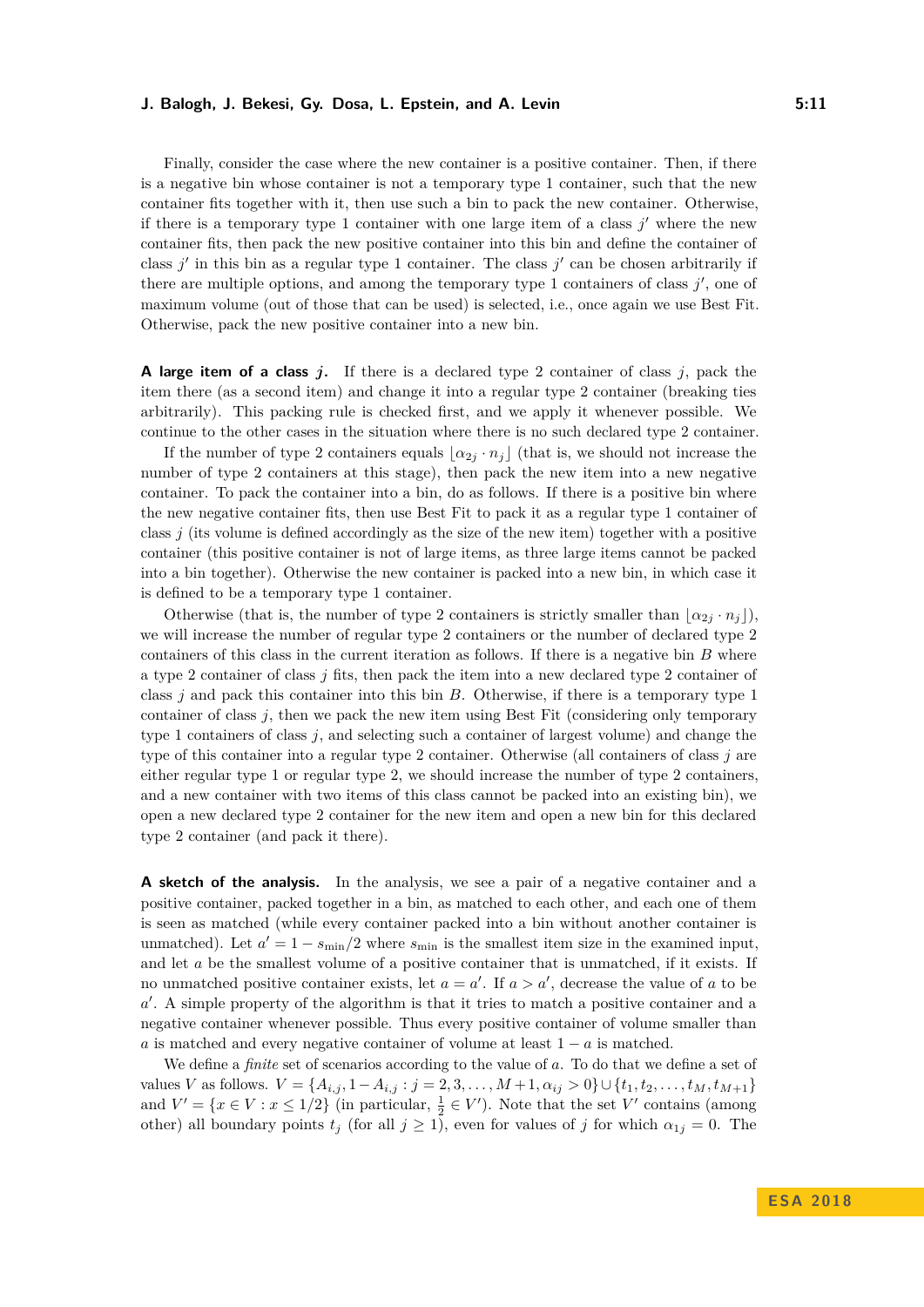Finally, consider the case where the new container is a positive container. Then, if there is a negative bin whose container is not a temporary type 1 container, such that the new container fits together with it, then use such a bin to pack the new container. Otherwise, if there is a temporary type 1 container with one large item of a class  $j'$  where the new container fits, then pack the new positive container into this bin and define the container of class  $j'$  in this bin as a regular type 1 container. The class  $j'$  can be chosen arbitrarily if there are multiple options, and among the temporary type 1 containers of class  $j'$ , one of maximum volume (out of those that can be used) is selected, i.e., once again we use Best Fit. Otherwise, pack the new positive container into a new bin.

**A large item of a class** *j***.** If there is a declared type 2 container of class *j*, pack the item there (as a second item) and change it into a regular type 2 container (breaking ties arbitrarily). This packing rule is checked first, and we apply it whenever possible. We continue to the other cases in the situation where there is no such declared type 2 container.

If the number of type 2 containers equals  $\alpha_{2i} \cdot n_j$  (that is, we should not increase the number of type 2 containers at this stage), then pack the new item into a new negative container. To pack the container into a bin, do as follows. If there is a positive bin where the new negative container fits, then use Best Fit to pack it as a regular type 1 container of class  $j$  (its volume is defined accordingly as the size of the new item) together with a positive container (this positive container is not of large items, as three large items cannot be packed into a bin together). Otherwise the new container is packed into a new bin, in which case it is defined to be a temporary type 1 container.

Otherwise (that is, the number of type 2 containers is strictly smaller than  $\alpha_{2i} \cdot n_i$ ), we will increase the number of regular type 2 containers or the number of declared type 2 containers of this class in the current iteration as follows. If there is a negative bin *B* where a type 2 container of class *j* fits, then pack the item into a new declared type 2 container of class *j* and pack this container into this bin *B*. Otherwise, if there is a temporary type 1 container of class *j*, then we pack the new item using Best Fit (considering only temporary type 1 containers of class *j*, and selecting such a container of largest volume) and change the type of this container into a regular type 2 container. Otherwise (all containers of class *j* are either regular type 1 or regular type 2, we should increase the number of type 2 containers, and a new container with two items of this class cannot be packed into an existing bin), we open a new declared type 2 container for the new item and open a new bin for this declared type 2 container (and pack it there).

**A sketch of the analysis.** In the analysis, we see a pair of a negative container and a positive container, packed together in a bin, as matched to each other, and each one of them is seen as matched (while every container packed into a bin without another container is unmatched). Let  $a' = 1 - s_{\text{min}}/2$  where  $s_{\text{min}}$  is the smallest item size in the examined input, and let *a* be the smallest volume of a positive container that is unmatched, if it exists. If no unmatched positive container exists, let  $a = a'$ . If  $a > a'$ , decrease the value of *a* to be a<sup>'</sup>. A simple property of the algorithm is that it tries to match a positive container and a negative container whenever possible. Thus every positive container of volume smaller than *a* is matched and every negative container of volume at least  $1 - a$  is matched.

We define a *finite* set of scenarios according to the value of a. To do that we define a set of values V as follows.  $V = \{A_{i,j}, 1 - A_{i,j} : j = 2, 3, ..., M + 1, \alpha_{ij} > 0\} \cup \{t_1, t_2, ..., t_M, t_{M+1}\}\$ and  $V' = \{x \in V : x \leq 1/2\}$  (in particular,  $\frac{1}{2} \in V'$ ). Note that the set  $V'$  contains (among other) all boundary points  $t_j$  (for all  $j \ge 1$ ), even for values of *j* for which  $\alpha_{1j} = 0$ . The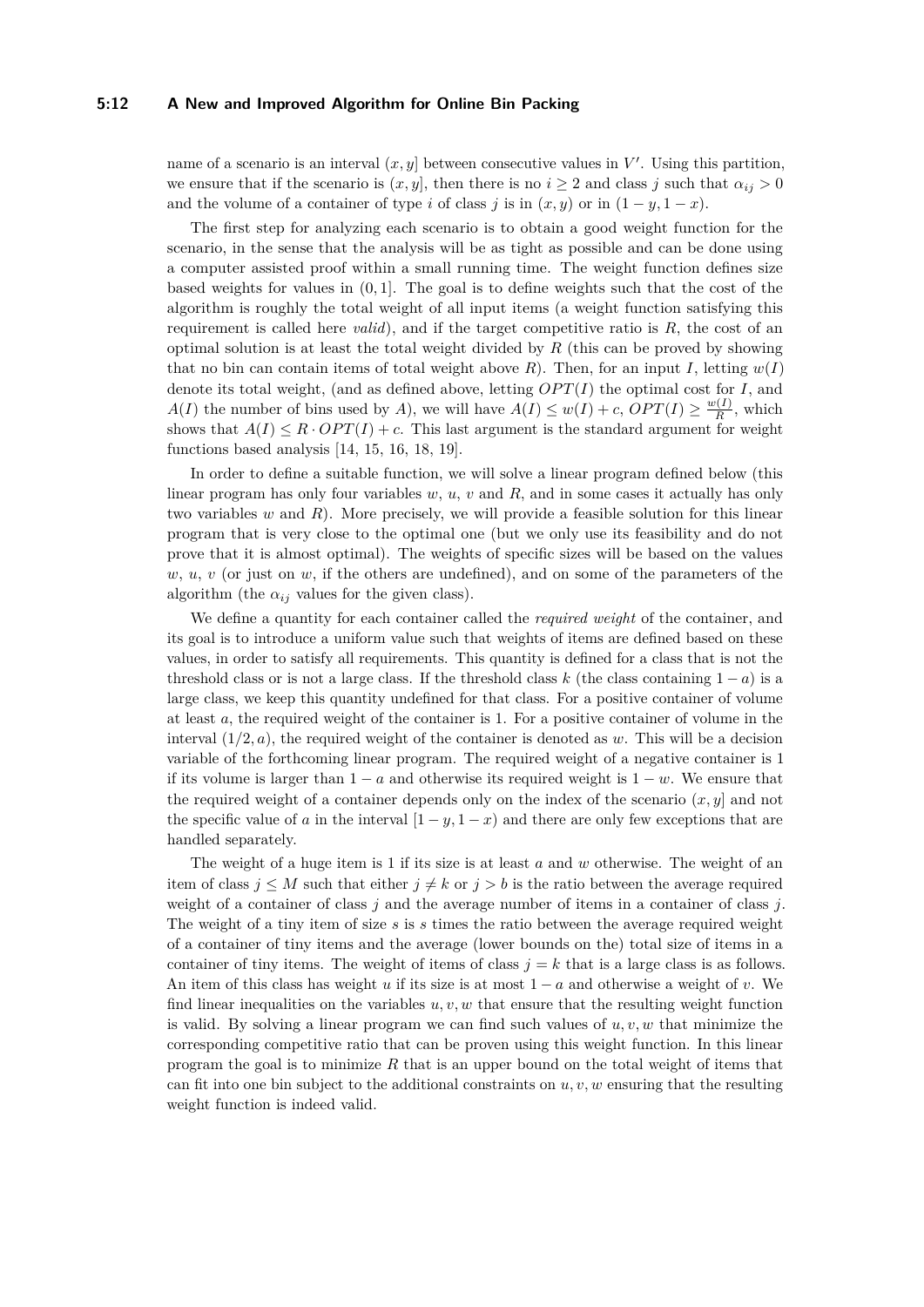## **5:12 A New and Improved Algorithm for Online Bin Packing**

name of a scenario is an interval  $(x, y]$  between consecutive values in  $V'$ . Using this partition, we ensure that if the scenario is  $(x, y]$ , then there is no  $i \geq 2$  and class *j* such that  $\alpha_{ij} > 0$ and the volume of a container of type *i* of class *j* is in  $(x, y)$  or in  $(1 - y, 1 - x)$ .

The first step for analyzing each scenario is to obtain a good weight function for the scenario, in the sense that the analysis will be as tight as possible and can be done using a computer assisted proof within a small running time. The weight function defines size based weights for values in (0*,* 1]. The goal is to define weights such that the cost of the algorithm is roughly the total weight of all input items (a weight function satisfying this requirement is called here *valid*), and if the target competitive ratio is *R*, the cost of an optimal solution is at least the total weight divided by *R* (this can be proved by showing that no bin can contain items of total weight above  $R$ ). Then, for an input  $I$ , letting  $w(I)$ denote its total weight, (and as defined above, letting  $OPT(I)$  the optimal cost for *I*, and *A*(*I*) the number of bins used by *A*), we will have  $A(I) \leq w(I) + c$ ,  $OPT(I) \geq \frac{w(I)}{R}$  $\frac{y(I)}{R}$ , which shows that  $A(I) \leq R \cdot OPT(I) + c$ . This last argument is the standard argument for weight functions based analysis [\[14,](#page-12-7) [15,](#page-12-8) [16,](#page-12-9) [18,](#page-13-5) [19\]](#page-13-6).

In order to define a suitable function, we will solve a linear program defined below (this linear program has only four variables *w*, *u*, *v* and *R*, and in some cases it actually has only two variables *w* and *R*). More precisely, we will provide a feasible solution for this linear program that is very close to the optimal one (but we only use its feasibility and do not prove that it is almost optimal). The weights of specific sizes will be based on the values  $w, u, v$  (or just on  $w$ , if the others are undefined), and on some of the parameters of the algorithm (the  $\alpha_{ij}$  values for the given class).

We define a quantity for each container called the *required weight* of the container, and its goal is to introduce a uniform value such that weights of items are defined based on these values, in order to satisfy all requirements. This quantity is defined for a class that is not the threshold class or is not a large class. If the threshold class  $k$  (the class containing  $1 - a$ ) is a large class, we keep this quantity undefined for that class. For a positive container of volume at least *a*, the required weight of the container is 1. For a positive container of volume in the interval  $(1/2, a)$ , the required weight of the container is denoted as *w*. This will be a decision variable of the forthcoming linear program. The required weight of a negative container is 1 if its volume is larger than  $1 - a$  and otherwise its required weight is  $1 - w$ . We ensure that the required weight of a container depends only on the index of the scenario (*x, y*] and not the specific value of *a* in the interval  $[1 - y, 1 - x)$  and there are only few exceptions that are handled separately.

The weight of a huge item is 1 if its size is at least *a* and *w* otherwise. The weight of an item of class  $j \leq M$  such that either  $j \neq k$  or  $j > b$  is the ratio between the average required weight of a container of class *j* and the average number of items in a container of class *j*. The weight of a tiny item of size *s* is *s* times the ratio between the average required weight of a container of tiny items and the average (lower bounds on the) total size of items in a container of tiny items. The weight of items of class  $j = k$  that is a large class is as follows. An item of this class has weight *u* if its size is at most  $1 - a$  and otherwise a weight of *v*. We find linear inequalities on the variables  $u, v, w$  that ensure that the resulting weight function is valid. By solving a linear program we can find such values of *u, v, w* that minimize the corresponding competitive ratio that can be proven using this weight function. In this linear program the goal is to minimize *R* that is an upper bound on the total weight of items that can fit into one bin subject to the additional constraints on  $u, v, w$  ensuring that the resulting weight function is indeed valid.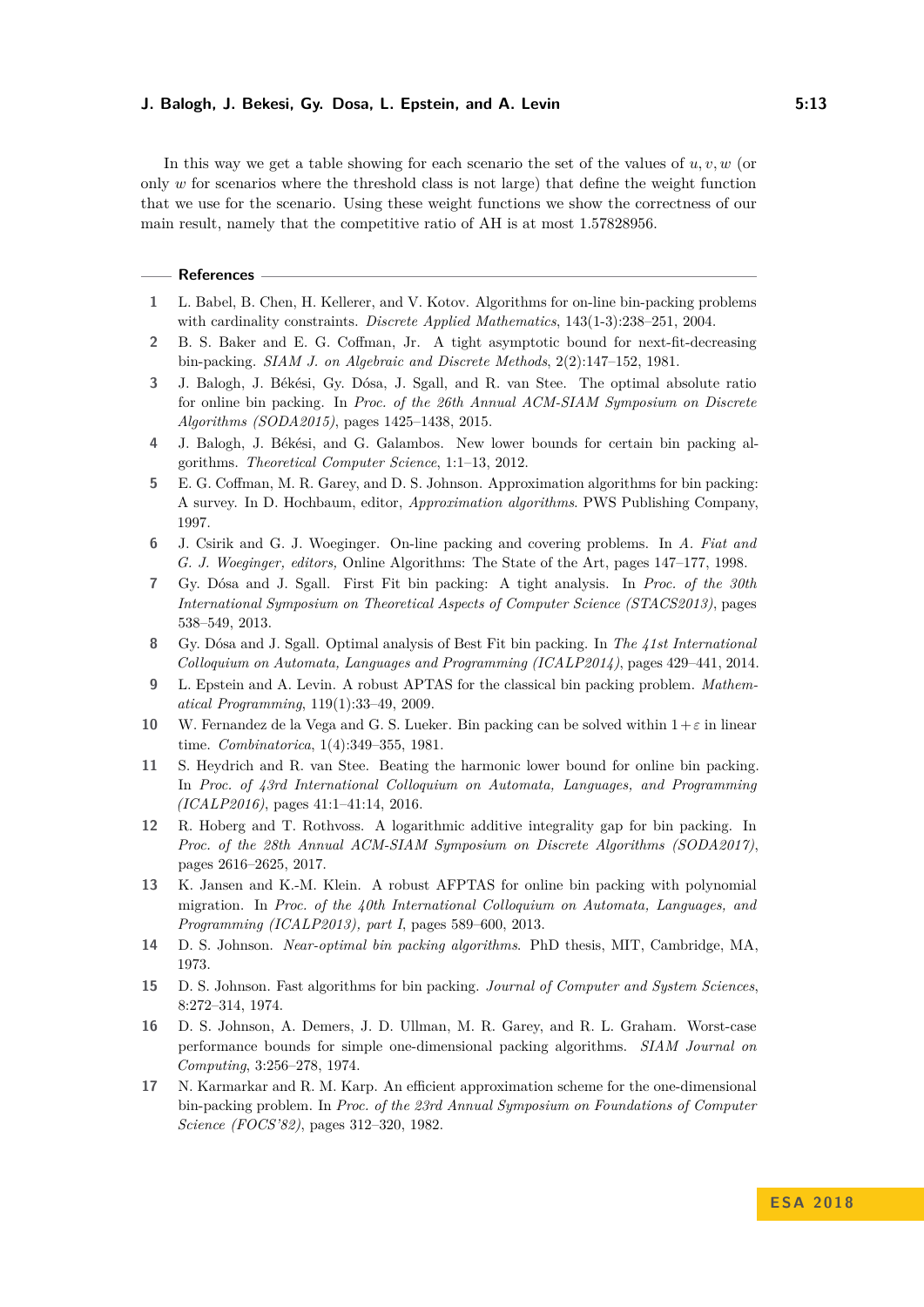In this way we get a table showing for each scenario the set of the values of *u, v, w* (or only *w* for scenarios where the threshold class is not large) that define the weight function that we use for the scenario. Using these weight functions we show the correctness of our main result, namely that the competitive ratio of AH is at most 1*.*57828956.

#### **References**

- <span id="page-12-12"></span>**1** L. Babel, B. Chen, H. Kellerer, and V. Kotov. Algorithms for on-line bin-packing problems with cardinality constraints. *Discrete Applied Mathematics*, 143(1-3):238–251, 2004.
- <span id="page-12-11"></span>**2** B. S. Baker and E. G. Coffman, Jr. A tight asymptotic bound for next-fit-decreasing bin-packing. *SIAM J. on Algebraic and Discrete Methods*, 2(2):147–152, 1981.
- <span id="page-12-14"></span>**3** J. Balogh, J. Békési, Gy. Dósa, J. Sgall, and R. van Stee. The optimal absolute ratio for online bin packing. In *Proc. of the 26th Annual ACM-SIAM Symposium on Discrete Algorithms (SODA2015)*, pages 1425–1438, 2015.
- <span id="page-12-16"></span>**4** J. Balogh, J. Békési, and G. Galambos. New lower bounds for certain bin packing algorithms. *Theoretical Computer Science*, 1:1–13, 2012.
- <span id="page-12-0"></span>**5** E. G. Coffman, M. R. Garey, and D. S. Johnson. Approximation algorithms for bin packing: A survey. In D. Hochbaum, editor, *Approximation algorithms*. PWS Publishing Company, 1997.
- <span id="page-12-1"></span>**6** J. Csirik and G. J. Woeginger. On-line packing and covering problems. In *A. Fiat and G. J. Woeginger, editors,* Online Algorithms: The State of the Art, pages 147–177, 1998.
- <span id="page-12-10"></span>**7** Gy. Dósa and J. Sgall. First Fit bin packing: A tight analysis. In *Proc. of the 30th International Symposium on Theoretical Aspects of Computer Science (STACS2013)*, pages 538–549, 2013.
- <span id="page-12-15"></span>**8** Gy. Dósa and J. Sgall. Optimal analysis of Best Fit bin packing. In *The 41st International Colloquium on Automata, Languages and Programming (ICALP2014)*, pages 429–441, 2014.
- <span id="page-12-4"></span>**9** L. Epstein and A. Levin. A robust APTAS for the classical bin packing problem. *Mathematical Programming*, 119(1):33–49, 2009.
- <span id="page-12-2"></span>**10** W. Fernandez de la Vega and G. S. Lueker. Bin packing can be solved within  $1+\varepsilon$  in linear time. *Combinatorica*, 1(4):349–355, 1981.
- <span id="page-12-13"></span>**11** S. Heydrich and R. van Stee. Beating the harmonic lower bound for online bin packing. In *Proc. of 43rd International Colloquium on Automata, Languages, and Programming (ICALP2016)*, pages 41:1–41:14, 2016.
- <span id="page-12-6"></span>**12** R. Hoberg and T. Rothvoss. A logarithmic additive integrality gap for bin packing. In *Proc. of the 28th Annual ACM-SIAM Symposium on Discrete Algorithms (SODA2017)*, pages 2616–2625, 2017.
- <span id="page-12-5"></span>**13** K. Jansen and K.-M. Klein. A robust AFPTAS for online bin packing with polynomial migration. In *Proc. of the 40th International Colloquium on Automata, Languages, and Programming (ICALP2013), part I*, pages 589–600, 2013.
- <span id="page-12-7"></span>**14** D. S. Johnson. *Near-optimal bin packing algorithms*. PhD thesis, MIT, Cambridge, MA, 1973.
- <span id="page-12-8"></span>**15** D. S. Johnson. Fast algorithms for bin packing. *Journal of Computer and System Sciences*, 8:272–314, 1974.
- <span id="page-12-9"></span>**16** D. S. Johnson, A. Demers, J. D. Ullman, M. R. Garey, and R. L. Graham. Worst-case performance bounds for simple one-dimensional packing algorithms. *SIAM Journal on Computing*, 3:256–278, 1974.
- <span id="page-12-3"></span>**17** N. Karmarkar and R. M. Karp. An efficient approximation scheme for the one-dimensional bin-packing problem. In *Proc. of the 23rd Annual Symposium on Foundations of Computer Science (FOCS'82)*, pages 312–320, 1982.